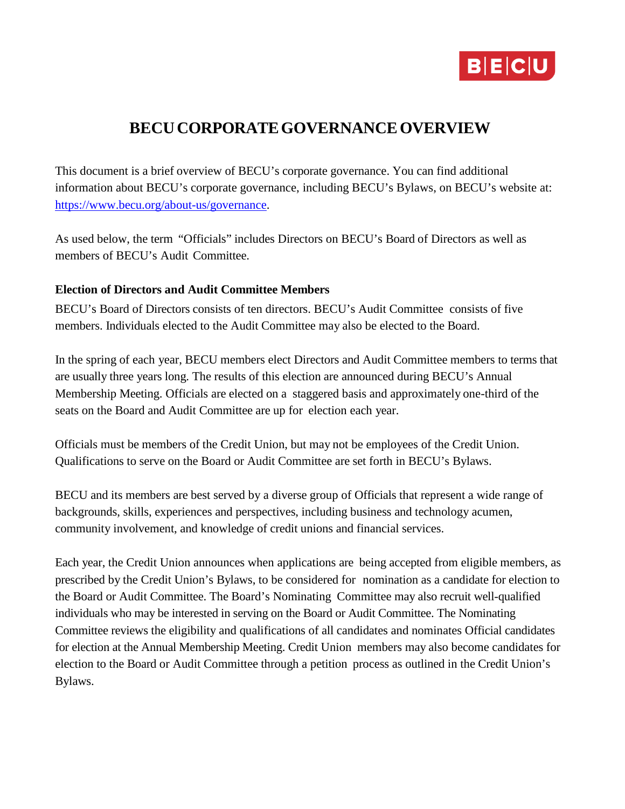

# **BECUCORPORATEGOVERNANCEOVERVIEW**

This document is a brief overview of BECU's corporate governance. You can find additional information about BECU's corporate governance, including BECU's Bylaws, on BECU's website at: [https://www.becu.org/about-us/governance.](https://www.becu.org/about-us/governance)

As used below, the term "Officials" includes Directors on BECU's Board of Directors as well as members of BECU's Audit Committee.

## **Election of Directors and Audit Committee Members**

BECU's Board of Directors consists of ten directors. BECU's Audit Committee consists of five members. Individuals elected to the Audit Committee may also be elected to the Board.

In the spring of each year, BECU members elect Directors and Audit Committee members to terms that are usually three years long. The results of this election are announced during BECU's Annual Membership Meeting. Officials are elected on a staggered basis and approximately one-third of the seats on the Board and Audit Committee are up for election each year.

Officials must be members of the Credit Union, but may not be employees of the Credit Union. Qualifications to serve on the Board or Audit Committee are set forth in BECU's Bylaws.

BECU and its members are best served by a diverse group of Officials that represent a wide range of backgrounds, skills, experiences and perspectives, including business and technology acumen, community involvement, and knowledge of credit unions and financial services.

Each year, the Credit Union announces when applications are being accepted from eligible members, as prescribed by the Credit Union's Bylaws, to be considered for nomination as a candidate for election to the Board or Audit Committee. The Board's Nominating Committee may also recruit well-qualified individuals who may be interested in serving on the Board or Audit Committee. The Nominating Committee reviews the eligibility and qualifications of all candidates and nominates Official candidates for election at the Annual Membership Meeting. Credit Union members may also become candidates for election to the Board or Audit Committee through a petition process as outlined in the Credit Union's Bylaws.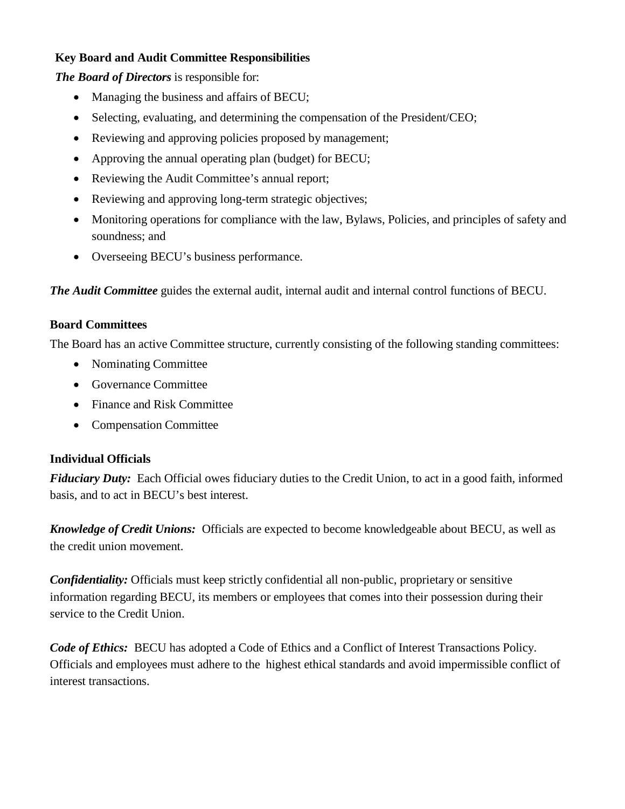## **Key Board and Audit Committee Responsibilities**

*The Board of Directors* is responsible for:

- Managing the business and affairs of BECU;
- Selecting, evaluating, and determining the compensation of the President/CEO;
- Reviewing and approving policies proposed by management;
- Approving the annual operating plan (budget) for BECU;
- Reviewing the Audit Committee's annual report;
- Reviewing and approving long-term strategic objectives;
- Monitoring operations for compliance with the law, Bylaws, Policies, and principles of safety and soundness; and
- Overseeing BECU's business performance.

*The Audit Committee* guides the external audit, internal audit and internal control functions of BECU.

#### **Board Committees**

The Board has an active Committee structure, currently consisting of the following standing committees:

- Nominating Committee
- Governance Committee
- Finance and Risk Committee
- Compensation Committee

## **Individual Officials**

*Fiduciary Duty:* Each Official owes fiduciary duties to the Credit Union, to act in a good faith, informed basis, and to act in BECU's best interest.

*Knowledge of Credit Unions:* Officials are expected to become knowledgeable about BECU, as well as the credit union movement.

*Confidentiality:* Officials must keep strictly confidential all non-public, proprietary or sensitive information regarding BECU, its members or employees that comes into their possession during their service to the Credit Union.

*Code of Ethics:* BECU has adopted a Code of Ethics and a Conflict of Interest Transactions Policy. Officials and employees must adhere to the highest ethical standards and avoid impermissible conflict of interest transactions.